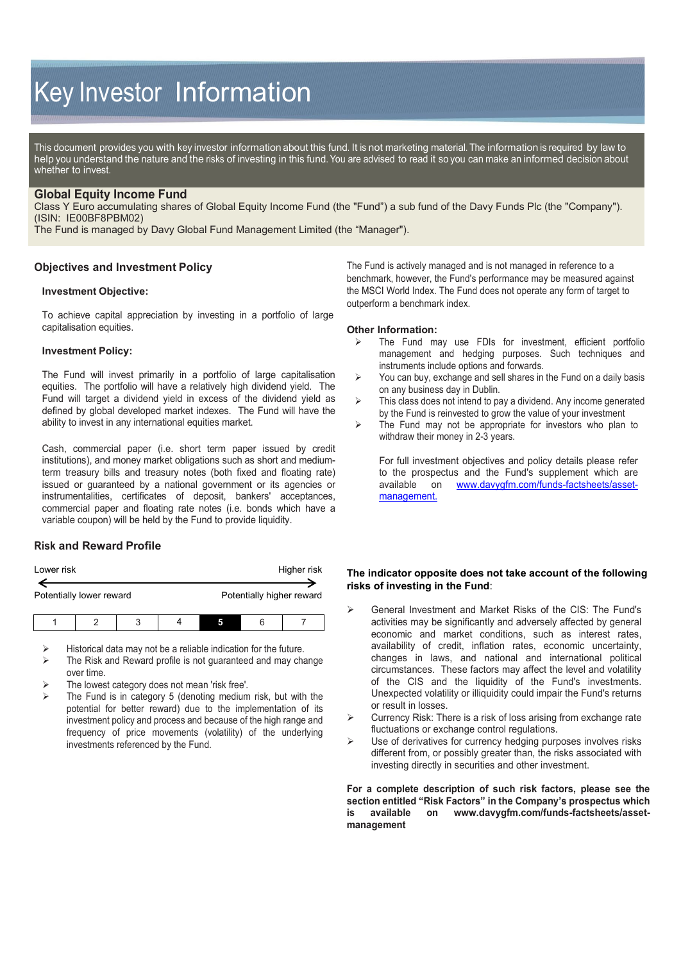# Key Investor Information

This document provides you with key investor information about this fund. It is not marketing material. The information is required by law to help you understand the nature and the risks of investing in this fund. You are advised to read it so you can make an informed decision about whether to invest.

## **Global Equity Income Fund**

Class Y Euro accumulating shares of Global Equity Income Fund (the "Fund") a sub fund of the Davy Funds Plc (the "Company"). (ISIN: IE00BF8PBM02)

The Fund is managed by Davy Global Fund Management Limited (the "Manager").

## **Objectives and Investment Policy**

### **Investment Objective:**

To achieve capital appreciation by investing in a portfolio of large capitalisation equities.

#### **Investment Policy:**

The Fund will invest primarily in a portfolio of large capitalisation equities. The portfolio will have a relatively high dividend yield. The Fund will target a dividend yield in excess of the dividend yield as defined by global developed market indexes. The Fund will have the ability to invest in any international equities market.

Cash, commercial paper (i.e. short term paper issued by credit institutions), and money market obligations such as short and mediumterm treasury bills and treasury notes (both fixed and floating rate) issued or guaranteed by a national government or its agencies or instrumentalities, certificates of deposit, bankers' acceptances, commercial paper and floating rate notes (i.e. bonds which have a variable coupon) will be held by the Fund to provide liquidity.

# **Risk and Reward Profile**

| Lower risk               |  |   |  |   | Higher risk               |
|--------------------------|--|---|--|---|---------------------------|
| Potentially lower reward |  |   |  |   | Potentially higher reward |
|                          |  | ↷ |  | 6 |                           |

Historical data may not be a reliable indication for the future.

- The Risk and Reward profile is not guaranteed and may change over time.
- The lowest category does not mean 'risk free'.
- The Fund is in category 5 (denoting medium risk, but with the potential for better reward) due to the implementation of its investment policy and process and because of the high range and frequency of price movements (volatility) of the underlying investments referenced by the Fund.

The Fund is actively managed and is not managed in reference to a benchmark, however, the Fund's performance may be measured against the MSCI World Index. The Fund does not operate any form of target to outperform a benchmark index.

#### **Other Information:**

- The Fund may use FDIs for investment, efficient portfolio management and hedging purposes. Such techniques and instruments include options and forwards.
- $\triangleright$  You can buy, exchange and sell shares in the Fund on a daily basis on any business day in Dublin.
- $\triangleright$  This class does not intend to pay a dividend. Any income generated by the Fund is reinvested to grow the value of your investment
- $\triangleright$  The Fund may not be appropriate for investors who plan to withdraw their money in 2-3 years.

For full investment objectives and policy details please refer to the prospectus and the Fund's supplement which are available on www.dayvafm.com/funds-factsheets/asseton [www.davygfm.com/funds-factsheets/asset](http://www.davygfm.com/funds-factsheets/asset-management)[management.](http://www.davygfm.com/funds-factsheets/asset-management)

## **The indicator opposite does not take account of the following risks of investing in the Fund**:

- General Investment and Market Risks of the CIS: The Fund's activities may be significantly and adversely affected by general economic and market conditions, such as interest rates, availability of credit, inflation rates, economic uncertainty, changes in laws, and national and international political circumstances. These factors may affect the level and volatility of the CIS and the liquidity of the Fund's investments. Unexpected volatility or illiquidity could impair the Fund's returns or result in losses.
- $\triangleright$  Currency Risk: There is a risk of loss arising from exchange rate fluctuations or exchange control regulations.
- $\triangleright$  Use of derivatives for currency hedging purposes involves risks different from, or possibly greater than, the risks associated with investing directly in securities and other investment.

**For a complete description of such risk factors, please see the section entitled "Risk Factors" in the Company's prospectus which is available on [www.davygfm.com/funds-factsheets/asset](http://www.davygfm.com/funds-factsheets/asset-management)[management](http://www.davygfm.com/funds-factsheets/asset-management)**